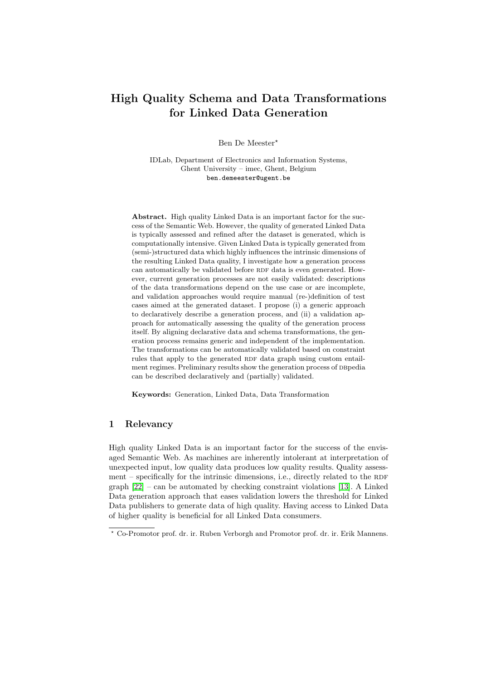# High Quality Schema and Data Transformations for Linked Data Generation

Ben De Meester?

IDLab, Department of Electronics and Information Systems, Ghent University – imec, Ghent, Belgium ben.demeester@ugent.be

Abstract. High quality Linked Data is an important factor for the success of the Semantic Web. However, the quality of generated Linked Data is typically assessed and refined after the dataset is generated, which is computationally intensive. Given Linked Data is typically generated from (semi-)structured data which highly influences the intrinsic dimensions of the resulting Linked Data quality, I investigate how a generation process can automatically be validated before RDF data is even generated. However, current generation processes are not easily validated: descriptions of the data transformations depend on the use case or are incomplete, and validation approaches would require manual (re-)definition of test cases aimed at the generated dataset. I propose (i) a generic approach to declaratively describe a generation process, and (ii) a validation approach for automatically assessing the quality of the generation process itself. By aligning declarative data and schema transformations, the generation process remains generic and independent of the implementation. The transformations can be automatically validated based on constraint rules that apply to the generated RDF data graph using custom entailment regimes. Preliminary results show the generation process of DBpedia can be described declaratively and (partially) validated.

Keywords: Generation, Linked Data, Data Transformation

## 1 Relevancy

High quality Linked Data is an important factor for the success of the envisaged Semantic Web. As machines are inherently intolerant at interpretation of unexpected input, low quality data produces low quality results. Quality assessment – specifically for the intrinsic dimensions, i.e., directly related to the RDF graph [\[22\]](#page-8-0) – can be automated by checking constraint violations [\[13\]](#page-8-1). A Linked Data generation approach that eases validation lowers the threshold for Linked Data publishers to generate data of high quality. Having access to Linked Data of higher quality is beneficial for all Linked Data consumers.

<sup>?</sup> Co-Promotor prof. dr. ir. Ruben Verborgh and Promotor prof. dr. ir. Erik Mannens.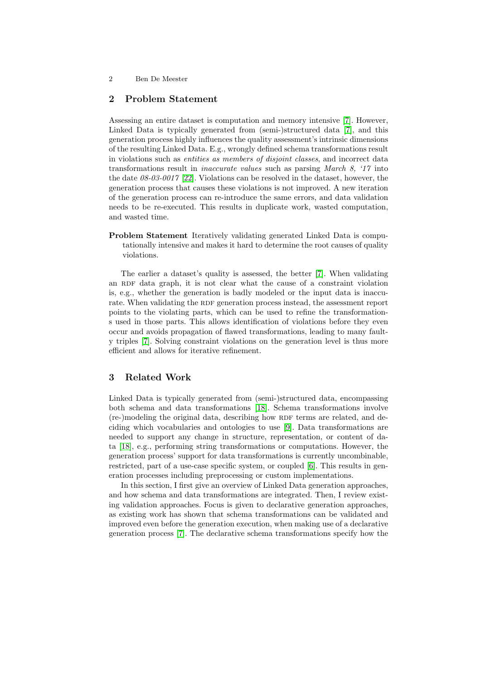## 2 Problem Statement

Assessing an entire dataset is computation and memory intensive [\[7\]](#page-7-0). However, Linked Data is typically generated from (semi-)structured data [\[7\]](#page-7-0), and this generation process highly influences the quality assessment's intrinsic dimensions of the resulting Linked Data. E.g., wrongly defined schema transformations result in violations such as entities as members of disjoint classes, and incorrect data transformations result in inaccurate values such as parsing March 8, '17 into the date  $08-03-0017$  [\[22\]](#page-8-0). Violations can be resolved in the dataset, however, the generation process that causes these violations is not improved. A new iteration of the generation process can re-introduce the same errors, and data validation needs to be re-executed. This results in duplicate work, wasted computation, and wasted time.

Problem Statement Iteratively validating generated Linked Data is computationally intensive and makes it hard to determine the root causes of quality violations.

The earlier a dataset's quality is assessed, the better [\[7\]](#page-7-0). When validating an RDF data graph, it is not clear what the cause of a constraint violation is, e.g., whether the generation is badly modeled or the input data is inaccurate. When validating the RDF generation process instead, the assessment report points to the violating parts, which can be used to refine the transformations used in those parts. This allows identification of violations before they even occur and avoids propagation of flawed transformations, leading to many faulty triples [\[7\]](#page-7-0). Solving constraint violations on the generation level is thus more efficient and allows for iterative refinement.

## 3 Related Work

Linked Data is typically generated from (semi-)structured data, encompassing both schema and data transformations [\[18\]](#page-8-2). Schema transformations involve (re-)modeling the original data, describing how RDF terms are related, and deciding which vocabularies and ontologies to use [\[9\]](#page-7-1). Data transformations are needed to support any change in structure, representation, or content of data [\[18\]](#page-8-2), e.g., performing string transformations or computations. However, the generation process' support for data transformations is currently uncombinable, restricted, part of a use-case specific system, or coupled [\[6\]](#page-7-2). This results in generation processes including preprocessing or custom implementations.

In this section, I first give an overview of Linked Data generation approaches, and how schema and data transformations are integrated. Then, I review existing validation approaches. Focus is given to declarative generation approaches, as existing work has shown that schema transformations can be validated and improved even before the generation execution, when making use of a declarative generation process [\[7\]](#page-7-0). The declarative schema transformations specify how the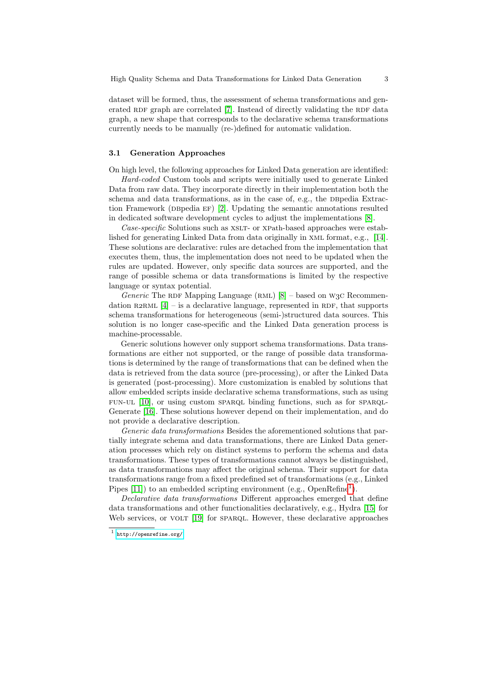dataset will be formed, thus, the assessment of schema transformations and generated RDF graph are correlated  $[7]$ . Instead of directly validating the RDF data graph, a new shape that corresponds to the declarative schema transformations currently needs to be manually (re-)defined for automatic validation.

#### 3.1 Generation Approaches

On high level, the following approaches for Linked Data generation are identified:

Hard-coded Custom tools and scripts were initially used to generate Linked Data from raw data. They incorporate directly in their implementation both the schema and data transformations, as in the case of, e.g., the DBpedia Extraction Framework (DBpedia  $EF$ ) [\[2\]](#page-7-3). Updating the semantic annotations resulted in dedicated software development cycles to adjust the implementations [\[8\]](#page-7-4).

Case-specific Solutions such as XSLT- or XPath-based approaches were established for generating Linked Data from data originally in xml format, e.g., [\[14\]](#page-8-3). These solutions are declarative: rules are detached from the implementation that executes them, thus, the implementation does not need to be updated when the rules are updated. However, only specific data sources are supported, and the range of possible schema or data transformations is limited by the respective language or syntax potential.

Generic The RDF Mapping Language (RML)  $[8]$  – based on W3C Recommendation R2RML  $[4]$  – is a declarative language, represented in RDF, that supports schema transformations for heterogeneous (semi-)structured data sources. This solution is no longer case-specific and the Linked Data generation process is machine-processable.

Generic solutions however only support schema transformations. Data transformations are either not supported, or the range of possible data transformations is determined by the range of transformations that can be defined when the data is retrieved from the data source (pre-processing), or after the Linked Data is generated (post-processing). More customization is enabled by solutions that allow embedded scripts inside declarative schema transformations, such as using fun-ul [\[10\]](#page-7-6), or using custom sparql binding functions, such as for sparql-Generate [\[16\]](#page-8-4). These solutions however depend on their implementation, and do not provide a declarative description.

Generic data transformations Besides the aforementioned solutions that partially integrate schema and data transformations, there are Linked Data generation processes which rely on distinct systems to perform the schema and data transformations. These types of transformations cannot always be distinguished, as data transformations may affect the original schema. Their support for data transformations range from a fixed predefined set of transformations (e.g., Linked Pipes  $[11]$ ) to an embedded scripting environment (e.g., OpenRefine<sup>[1](#page-2-0)</sup>).

Declarative data transformations Different approaches emerged that define data transformations and other functionalities declaratively, e.g., Hydra [\[15\]](#page-8-5) for Web services, or VOLT [\[19\]](#page-8-6) for SPARQL. However, these declarative approaches

<span id="page-2-0"></span> $^1$  <http://openrefine.org/>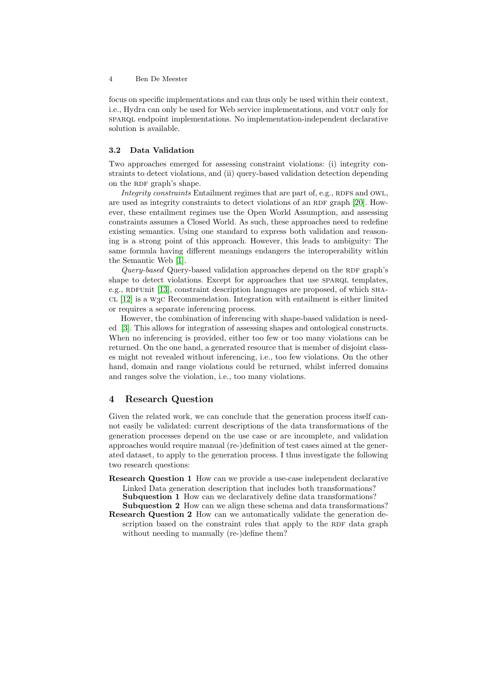focus on specific implementations and can thus only be used within their context, i.e., Hydra can only be used for Web service implementations, and VOLT only for sparql endpoint implementations. No implementation-independent declarative solution is available.

#### 3.2 Data Validation

Two approaches emerged for assessing constraint violations: (i) integrity constraints to detect violations, and (ii) query-based validation detection depending on the RDF graph's shape.

Integrity constraints Entailment regimes that are part of, e.g., RDFS and OWL, are used as integrity constraints to detect violations of an RDF graph [\[20\]](#page-8-7). However, these entailment regimes use the Open World Assumption, and assessing constraints assumes a Closed World. As such, these approaches need to redefine existing semantics. Using one standard to express both validation and reasoning is a strong point of this approach. However, this leads to ambiguity: The same formula having different meanings endangers the interoperability within the Semantic Web [\[1\]](#page-7-8).

 $Query-based$  Query-based validation approaches depend on the RDF graph's shape to detect violations. Except for approaches that use SPARQL templates, e.g., RDFUnit  $[13]$ , constraint description languages are proposed, of which  $SHA$ - $CL$  [\[12\]](#page-8-8) is a W<sub>3</sub> $C$  Recommendation. Integration with entailment is either limited or requires a separate inferencing process.

However, the combination of inferencing with shape-based validation is needed [\[3\]](#page-7-9). This allows for integration of assessing shapes and ontological constructs. When no inferencing is provided, either too few or too many violations can be returned. On the one hand, a generated resource that is member of disjoint classes might not revealed without inferencing, i.e., too few violations. On the other hand, domain and range violations could be returned, whilst inferred domains and ranges solve the violation, i.e., too many violations.

### 4 Research Question

Given the related work, we can conclude that the generation process itself cannot easily be validated: current descriptions of the data transformations of the generation processes depend on the use case or are incomplete, and validation approaches would require manual (re-)definition of test cases aimed at the generated dataset, to apply to the generation process. I thus investigate the following two research questions:

Research Question 1 How can we provide a use-case independent declarative Linked Data generation description that includes both transformations? Subquestion 1 How can we declaratively define data transformations?

Subquestion 2 How can we align these schema and data transformations?

Research Question 2 How can we automatically validate the generation description based on the constraint rules that apply to the RDF data graph without needing to manually (re-)define them?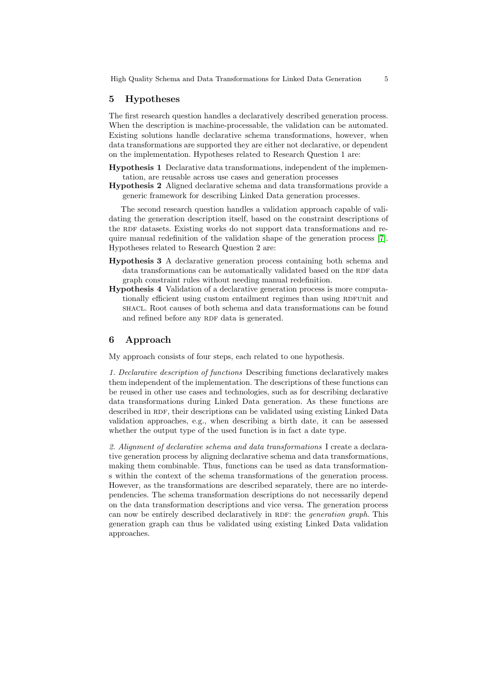#### 5 Hypotheses

The first research question handles a declaratively described generation process. When the description is machine-processable, the validation can be automated. Existing solutions handle declarative schema transformations, however, when data transformations are supported they are either not declarative, or dependent on the implementation. Hypotheses related to Research Question 1 are:

- Hypothesis 1 Declarative data transformations, independent of the implementation, are reusable across use cases and generation processes
- Hypothesis 2 Aligned declarative schema and data transformations provide a generic framework for describing Linked Data generation processes.

The second research question handles a validation approach capable of validating the generation description itself, based on the constraint descriptions of the RDF datasets. Existing works do not support data transformations and require manual redefinition of the validation shape of the generation process [\[7\]](#page-7-0). Hypotheses related to Research Question 2 are:

- Hypothesis 3 A declarative generation process containing both schema and data transformations can be automatically validated based on the RDF data graph constraint rules without needing manual redefinition.
- Hypothesis 4 Validation of a declarative generation process is more computationally efficient using custom entailment regimes than using RDFUnit and shacl. Root causes of both schema and data transformations can be found and refined before any RDF data is generated.

## 6 Approach

My approach consists of four steps, each related to one hypothesis.

1. Declarative description of functions Describing functions declaratively makes them independent of the implementation. The descriptions of these functions can be reused in other use cases and technologies, such as for describing declarative data transformations during Linked Data generation. As these functions are described in RDF, their descriptions can be validated using existing Linked Data validation approaches, e.g., when describing a birth date, it can be assessed whether the output type of the used function is in fact a date type.

2. Alignment of declarative schema and data transformations I create a declarative generation process by aligning declarative schema and data transformations, making them combinable. Thus, functions can be used as data transformations within the context of the schema transformations of the generation process. However, as the transformations are described separately, there are no interdependencies. The schema transformation descriptions do not necessarily depend on the data transformation descriptions and vice versa. The generation process can now be entirely described declaratively in RDF: the *generation graph*. This generation graph can thus be validated using existing Linked Data validation approaches.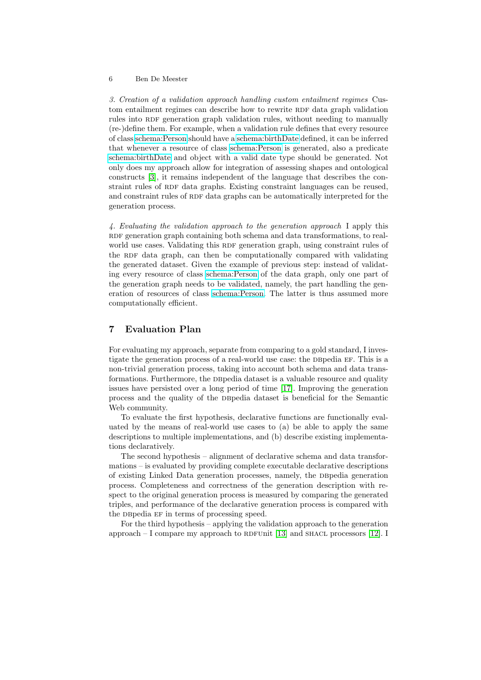#### 6 Ben De Meester

3. Creation of a validation approach handling custom entailment regimes Custom entailment regimes can describe how to rewrite RDF data graph validation rules into RDF generation graph validation rules, without needing to manually (re-)define them. For example, when a validation rule defines that every resource of class [schema:Person](http://schema.org/Person) should have a [schema:birthDate](http://schema.org/birthDate) defined, it can be inferred that whenever a resource of class [schema:Person](http://schema.org/Person) is generated, also a predicate [schema:birthDate](http://schema.org/birthDate) and object with a valid date type should be generated. Not only does my approach allow for integration of assessing shapes and ontological constructs [\[3\]](#page-7-9), it remains independent of the language that describes the constraint rules of RDF data graphs. Existing constraint languages can be reused, and constraint rules of RDF data graphs can be automatically interpreted for the generation process.

4. Evaluating the validation approach to the generation approach I apply this RDF generation graph containing both schema and data transformations, to realworld use cases. Validating this RDF generation graph, using constraint rules of the RDF data graph, can then be computationally compared with validating the generated dataset. Given the example of previous step: instead of validating every resource of class [schema:Person](http://schema.org/Person) of the data graph, only one part of the generation graph needs to be validated, namely, the part handling the generation of resources of class [schema:Person.](http://schema.org/Person) The latter is thus assumed more computationally efficient.

## 7 Evaluation Plan

For evaluating my approach, separate from comparing to a gold standard, I investigate the generation process of a real-world use case: the DB pedia EF. This is a non-trivial generation process, taking into account both schema and data transformations. Furthermore, the DB pedia dataset is a valuable resource and quality issues have persisted over a long period of time [\[17\]](#page-8-9). Improving the generation process and the quality of the dbpedia dataset is beneficial for the Semantic Web community.

To evaluate the first hypothesis, declarative functions are functionally evaluated by the means of real-world use cases to (a) be able to apply the same descriptions to multiple implementations, and (b) describe existing implementations declaratively.

The second hypothesis – alignment of declarative schema and data transformations – is evaluated by providing complete executable declarative descriptions of existing Linked Data generation processes, namely, the DB pedia generation process. Completeness and correctness of the generation description with respect to the original generation process is measured by comparing the generated triples, and performance of the declarative generation process is compared with the DB pedia EF in terms of processing speed.

For the third hypothesis – applying the validation approach to the generation approach  $-$  I compare my approach to RDFUnit [\[13\]](#page-8-1) and SHACL processors [\[12\]](#page-8-8). I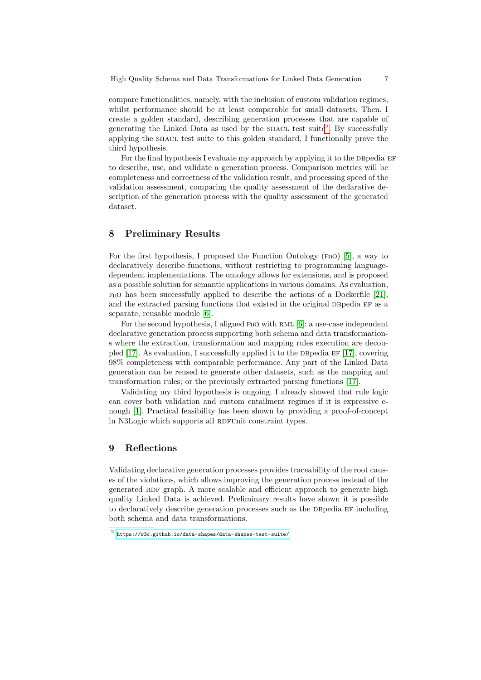High Quality Schema and Data Transformations for Linked Data Generation 7

compare functionalities, namely, with the inclusion of custom validation regimes, whilst performance should be at least comparable for small datasets. Then, I create a golden standard, describing generation processes that are capable of generating the Linked Data as used by the SHACL test suite<sup>[2](#page-6-0)</sup>. By successfully applying the shacl test suite to this golden standard, I functionally prove the third hypothesis.

For the final hypothesis I evaluate my approach by applying it to the DB pedia  $EF$ to describe, use, and validate a generation process. Comparison metrics will be completeness and correctness of the validation result, and processing speed of the validation assessment, comparing the quality assessment of the declarative description of the generation process with the quality assessment of the generated dataset.

## 8 Preliminary Results

For the first hypothesis, I proposed the Function Ontology (fno) [\[5\]](#page-7-10), a way to declaratively describe functions, without restricting to programming languagedependent implementations. The ontology allows for extensions, and is proposed as a possible solution for semantic applications in various domains. As evaluation, fno has been successfully applied to describe the actions of a Dockerfile [\[21\]](#page-8-10), and the extracted parsing functions that existed in the original DBpedia EF as a separate, reusable module [\[6\]](#page-7-2).

For the second hypothesis, I aligned F<sub>nO</sub> with RML [\[6\]](#page-7-2): a use-case independent declarative generation process supporting both schema and data transformations where the extraction, transformation and mapping rules execution are decou-pled [\[17\]](#page-8-9). As evaluation, I successfully applied it to the DB pedia  $EF$  [17], covering 98% completeness with comparable performance. Any part of the Linked Data generation can be reused to generate other datasets, such as the mapping and transformation rules; or the previously extracted parsing functions [\[17\]](#page-8-9).

Validating my third hypothesis is ongoing. I already showed that rule logic can cover both validation and custom entailment regimes if it is expressive enough [\[1\]](#page-7-8). Practical feasibility has been shown by providing a proof-of-concept in N3Logic which supports all RDFUnit constraint types.

## 9 Reflections

Validating declarative generation processes provides traceability of the root causes of the violations, which allows improving the generation process instead of the generated RDF graph. A more scalable and efficient approach to generate high quality Linked Data is achieved. Preliminary results have shown it is possible to declaratively describe generation processes such as the DB pedia EF including both schema and data transformations.

<span id="page-6-0"></span> $^2$  <https://w3c.github.io/data-shapes/data-shapes-test-suite/>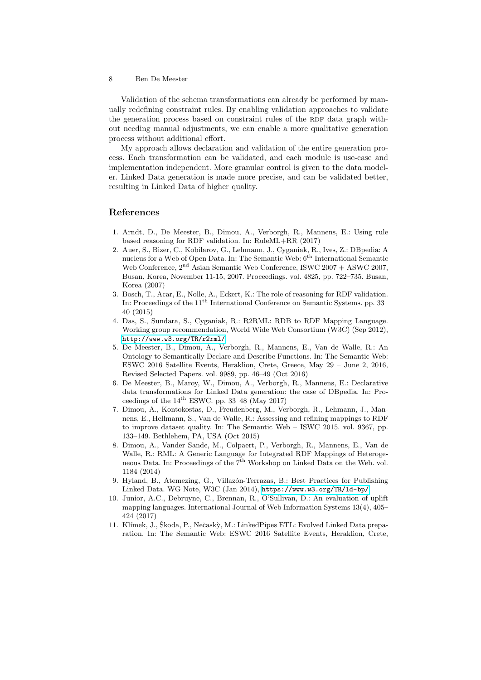Validation of the schema transformations can already be performed by manually redefining constraint rules. By enabling validation approaches to validate the generation process based on constraint rules of the RDF data graph without needing manual adjustments, we can enable a more qualitative generation process without additional effort.

My approach allows declaration and validation of the entire generation process. Each transformation can be validated, and each module is use-case and implementation independent. More granular control is given to the data modeler. Linked Data generation is made more precise, and can be validated better, resulting in Linked Data of higher quality.

## References

- <span id="page-7-8"></span>1. Arndt, D., De Meester, B., Dimou, A., Verborgh, R., Mannens, E.: Using rule based reasoning for RDF validation. In: RuleML+RR (2017)
- <span id="page-7-3"></span>2. Auer, S., Bizer, C., Kobilarov, G., Lehmann, J., Cyganiak, R., Ives, Z.: DBpedia: A nucleus for a Web of Open Data. In: The Semantic Web:  $6<sup>th</sup>$  International Semantic Web Conference,  $2<sup>nd</sup>$  Asian Semantic Web Conference, ISWC 2007 + ASWC 2007, Busan, Korea, November 11-15, 2007. Proceedings. vol. 4825, pp. 722–735. Busan, Korea (2007)
- <span id="page-7-9"></span>3. Bosch, T., Acar, E., Nolle, A., Eckert, K.: The role of reasoning for RDF validation. In: Proceedings of the 11<sup>th</sup> International Conference on Semantic Systems. pp. 33– 40 (2015)
- <span id="page-7-5"></span>4. Das, S., Sundara, S., Cyganiak, R.: R2RML: RDB to RDF Mapping Language. Working group recommendation, World Wide Web Consortium (W3C) (Sep 2012), <http://www.w3.org/TR/r2rml/>
- <span id="page-7-10"></span>5. De Meester, B., Dimou, A., Verborgh, R., Mannens, E., Van de Walle, R.: An Ontology to Semantically Declare and Describe Functions. In: The Semantic Web: ESWC 2016 Satellite Events, Heraklion, Crete, Greece, May 29 – June 2, 2016, Revised Selected Papers. vol. 9989, pp. 46–49 (Oct 2016)
- <span id="page-7-2"></span>6. De Meester, B., Maroy, W., Dimou, A., Verborgh, R., Mannens, E.: Declarative data transformations for Linked Data generation: the case of DBpedia. In: Proceedings of the  $14^{\text{th}}$  ESWC. pp. 33-48 (May 2017)
- <span id="page-7-0"></span>7. Dimou, A., Kontokostas, D., Freudenberg, M., Verborgh, R., Lehmann, J., Mannens, E., Hellmann, S., Van de Walle, R.: Assessing and refining mappings to RDF to improve dataset quality. In: The Semantic Web – ISWC 2015. vol. 9367, pp. 133–149. Bethlehem, PA, USA (Oct 2015)
- <span id="page-7-4"></span>8. Dimou, A., Vander Sande, M., Colpaert, P., Verborgh, R., Mannens, E., Van de Walle, R.: RML: A Generic Language for Integrated RDF Mappings of Heterogeneous Data. In: Proceedings of the 7<sup>th</sup> Workshop on Linked Data on the Web. vol. 1184 (2014)
- <span id="page-7-1"></span>9. Hyland, B., Atemezing, G., Villazón-Terrazas, B.: Best Practices for Publishing Linked Data. WG Note, W3C (Jan 2014), <https://www.w3.org/TR/ld-bp/>
- <span id="page-7-6"></span>10. Junior, A.C., Debruyne, C., Brennan, R., O'Sullivan, D.: An evaluation of uplift mapping languages. International Journal of Web Information Systems 13(4), 405– 424 (2017)
- <span id="page-7-7"></span>11. Klímek, J., Škoda, P., Nečaskỳ, M.: LinkedPipes ETL: Evolved Linked Data preparation. In: The Semantic Web: ESWC 2016 Satellite Events, Heraklion, Crete,

<sup>8</sup> Ben De Meester